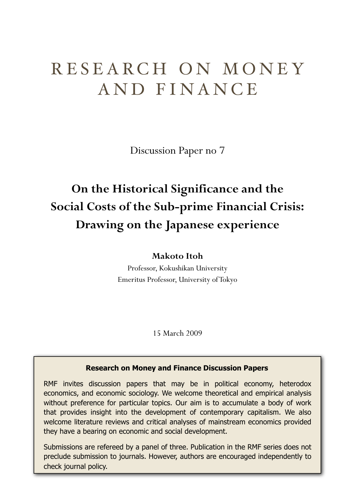# RESEARCH ON MONEY A N D F I N A N C E

Discussion Paper no 7

## **On the Historical Significance and the Social Costs of the Sub-prime Financial Crisis: Drawing on the Japanese experience**

## **Makoto Itoh**

Professor, Kokushikan University Emeritus Professor, University of Tokyo

15 March 2009

### **Research on Money and Finance Discussion Papers**

RMF invites discussion papers that may be in political economy, heterodox economics, and economic sociology. We welcome theoretical and empirical analysis without preference for particular topics. Our aim is to accumulate a body of work that provides insight into the development of contemporary capitalism. We also welcome literature reviews and critical analyses of mainstream economics provided they have a bearing on economic and social development.

Submissions are refereed by a panel of three. Publication in the RMF series does not preclude submission to journals. However, authors are encouraged independently to check journal policy.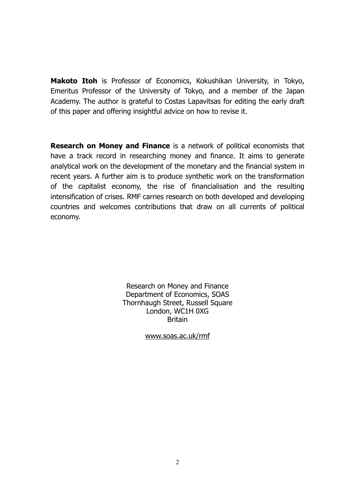**Makoto Itoh** is Professor of Economics, Kokushikan University, in Tokyo, Emeritus Professor of the University of Tokyo, and a member of the Japan Academy. The author is grateful to Costas Lapavitsas for editing the early draft of this paper and offering insightful advice on how to revise it.

**Research on Money and Finance** is a network of political economists that have a track record in researching money and finance. It aims to generate analytical work on the development of the monetary and the financial system in recent years. A further aim is to produce synthetic work on the transformation of the capitalist economy, the rise of financialisation and the resulting intensification of crises. RMF carries research on both developed and developing countries and welcomes contributions that draw on all currents of political economy.

> Research on Money and Finance Department of Economics, SOAS Thornhaugh Street, Russell Square London, WC1H 0XG **Britain**

> > [www.soas.ac.uk/rmf](http://www.soas.ac.uk/rmf)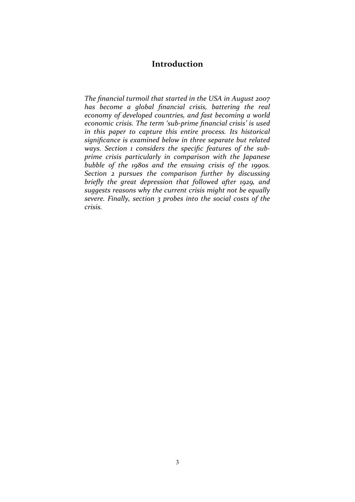## **Introduction**

The financial turmoil that started in the USA in August 2007 has become a global financial crisis, battering the real *economy
of
developed
 countries,
 and
 fast
 becoming
a
world*  economic crisis. The term 'sub-prime financial crisis' is used in this paper to capture this entire process. Its historical significance is examined below in three separate but related ways. Section *1* considers the specific features of the sub*prime
 crisis
 particularly
 in
 comparison
 with
 the
 Japanese*  bubble of the 1980s and the ensuing crisis of the 1990s. *Section
 2
 pursues
 the
 comparison
 further
 by
 discussing briefly
 the
 great
 depression
 that
 followed
 after
 1929,
 and suggests
reasons
why
the
current
crisis
might
not
be
equally severe.
 Finally,
 section
3
 probes
into
 the
 social
 costs
 of
the crisis.*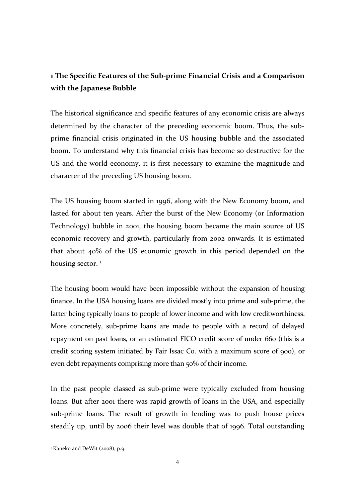## **1 The
Specific
Features
of
the
Sub‐prime
Financial
Crisis
and
a
Comparison with
the
Japanese
Bubble**

The
historical
significance
and
specific
features
of
any
economic
crisis
are
always determined by the character of the preceding economic boom. Thus, the subprime financial crisis originated in the US housing bubble and the associated boom.
To
 understand
why
this
financial
crisis
has
become
so
 destructive
for
the US and the world economy, it is first necessary to examine the magnitude and character
of
the
preceding
US
housing
boom.

The
US
housing
boom
 started
in
 1996,
along
with
the
New
Economy
boom,
and lasted
 for
about
 ten
years.
After
the
burst
 of
the
New
Economy
 (or
 Information Technology) bubble in 2001, the housing boom became the main source of US economic recovery and growth, particularly from 2002 onwards. It is estimated that about 40% of the US economic growth in this period depended on the housing sector.<sup>1</sup>

The
housing
boom
 would
have
been
impossible
without
 the
expansion
of
housing finance. In the USA housing loans are divided mostly into prime and sub-prime, the latter
being
typically
loans
to
people
of
lower
income
and
with
low
creditworthiness. More concretely, sub-prime loans are made to people with a record of delayed repayment on past loans, or an estimated FICO credit score of under 660 (this is a credit
scoring
system
initiated
by
Fair
Issac
Co.
with
 a
maximum
 score
of
900),
 or even
debt
repayments
comprising
more
than
50%
of
their
income.

In the past people classed as sub-prime were typically excluded from housing loans. But after 2001 there was rapid growth of loans in the USA, and especially sub-prime loans. The result of growth in lending was to push house prices steadily up, until by 2006 their level was double that of 1996. Total outstanding

<span id="page-3-0"></span><sup>&</sup>lt;sup>1</sup> Kaneko and DeWit (2008), p.9.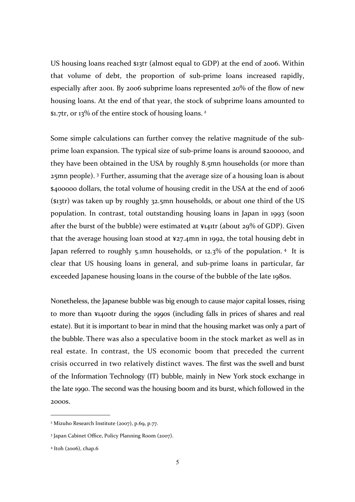US housing loans reached \$13tr (almost equal to GDP) at the end of 2006. Within that volume of debt, the proportion of sub-prime loans increased rapidly, especially after 2001. By 2006 subprime loans represented 20% of the flow of new housing loans. At the end of that year, the stock of subprime loans amounted to \$1.7tr,
or
13%
of
the
entire
stock
of
housing
loans. [2](#page-4-0)

Some simple calculations can further convey the relative magnitude of the subprime loan expansion. The typical size of sub-prime loans is around \$200000, and they
have
been
obtained
in
the
USA
by
roughly
8.5mn
households
(or
more
than 25mn
people). [3](#page-4-1) Further,
assuming
that
the
average
size
of
a
housing
loan
is
about \$400000 dollars, the total volume of housing credit in the USA at the end of 2006 (\$13tr)
was
taken
up
by
roughly
32.5mn
households,
or
about
one
third
of
the
US population. In contrast, total outstanding housing loans in Japan in 1993 (soon after the burst of the bubble) were estimated at ¥141tr (about 29% of GDP). Given that the average housing loan stood at  $\frac{427.4 \text{mn}}{202}$  in 1992, the total housing debt in Japan referred to roughly 5.1mn households, or 12.3% of the population.<sup>4</sup> It is clear
 that
 US
 housing
 loans
 in
 general,
 and
 sub‐prime
 loans
 in
 particular,
 far exceeded
Japanese
housing
loans
in
the
course
of
the
bubble
of
the
late
1980s.

Nonetheless,
the
Japanese
bubble
was
big
enough
to
cause
major
capital
losses,
rising to more than ¥1400tr during the 1990s (including falls in prices of shares and real estate). But it is important to bear in mind that the housing market was only a part of the
bubble. There
was
also
a
speculative
boom
in
the
stock
market
as
well
as
in real
 estate.
 In
 contrast,
 the
 US
 economic
 boom
 that
 preceded
 the
 current crisis
occurred
in
two
 relatively
distinct
waves. The
first
was
the
swell
and
burst of
the
Information
Technology
(IT)
bubble,
mainly
in
New
York
 stock
exchange
in the
late
1990.
The
second
was
the
housing
boom
and
its
burst,
which
followed
in
the 2000s.

<span id="page-4-0"></span><sup>&</sup>lt;sup>2</sup> Mizuho Research Institute (2007), p.69, p.77.

<span id="page-4-1"></span><sup>3</sup> Japan
Cabinet
Office,
Policy
Planning
Room
(2007).

<span id="page-4-2"></span><sup>4</sup>Itoh
(2006),
chap.6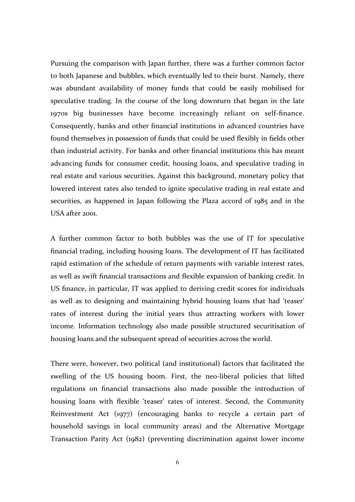Pursuing the comparison with Japan further, there was a further common factor to
 both
Japanese
and
bubbles,
which
eventually
led
to
their
burst.
Namely,
there was
 abundant
 availability
 of
 money
 funds
 that
 could
 be
 easily
 mobilised
 for speculative trading. In the course of the long downturn that began in the late 1970s
 big
 businesses
 have
 become
 increasingly
 reliant
 on
 self‐finance. Consequently,
 banks
and
other
financial
institutions
in
advanced
countries
have found themselves in possession of funds that could be used flexibly in fields other than
industrial
activity.
For
banks
and
other
financial
institutions
this
has
meant advancing funds for consumer credit, housing loans, and speculative trading in real
estate
and
various
securities.
Against
 this
background,
monetary
policy
that lowered interest rates also tended to ignite speculative trading in real estate and securities, as happened in Japan following the Plaza accord of 1985 and in the USA
after
2001.

A further common factor to both bubbles was the use of IT for speculative financial
 trading,
including
housing
loans.
The
development
 of
IT
has
facilitated rapid estimation of the schedule of return payments with variable interest rates, as
well
as
swift
financial
transactions
and
flexible
expansion
of
banking
credit.
In US finance, in particular, IT was applied to deriving credit scores for individuals as
 well
 as
 to
 designing
 and
maintaining
 hybrid
 housing
 loans
 that
 had
 'teaser' rates of interest during the initial years thus attracting workers with lower income. Information technology also made possible structured securitisation of housing loans and the subsequent spread of securities across the world.

There were, however, two political (and institutional) factors that facilitated the swelling of the US housing boom. First, the neo-liberal policies that lifted regulations
 on
 financial
 transactions
 also
 made
 possible
 the
 introduction
 of housing loans with flexible 'teaser' rates of interest. Second, the Community Reinvestment Act (1977) (encouraging banks to recycle a certain part of household savings in local community areas) and the Alternative Mortgage Transaction
 Parity
 Act
 (1982)
 (preventing
 discrimination
 against
 lower
income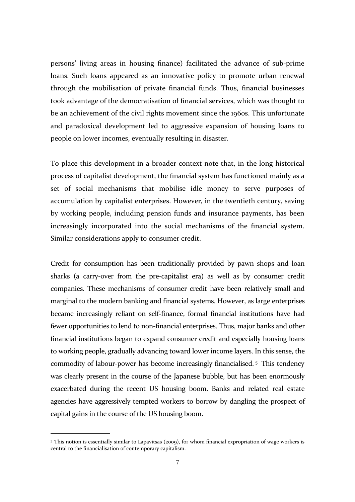persons'
 living
 areas
 in
 housing
 finance)
 facilitated
 the
 advance
 of
 sub‐prime loans. Such loans appeared as an innovative policy to promote urban renewal through
 the
 mobilisation
 of
 private
 financial
 funds.
 Thus,
 financial
 businesses took advantage of the democratisation of financial services, which was thought to be an achievement of the civil rights movement since the 1960s. This unfortunate and paradoxical development led to aggressive expansion of housing loans to people
on
lower
incomes,
eventually
resulting
in
disaster.

To place this development in a broader context note that, in the long historical process
of
capitalist
development,
the
financial
system
has
functioned
mainly
as
a set of social mechanisms that mobilise idle money to serve purposes of accumulation
by
capitalist
enterprises.
However,
in
the
twentieth
century,
saving by
working
 people,
 including
 pension
 funds
and
insurance
 payments,
 has
been increasingly incorporated into the social mechanisms of the financial system. Similar
considerations
apply
to
consumer
credit.

Credit for consumption has been traditionally provided by pawn shops and loan sharks (a carry-over from the pre-capitalist era) as well as by consumer credit companies.
 These
mechanisms
 of
consumer
 credit
 have
 been
 relatively
 small
 and marginal
to
the
modern
banking
and
financial
systems.
However,
as
large
enterprises became increasingly reliant on self-finance, formal financial institutions have had fewer opportunities to lend to non-financial enterprises. Thus, major banks and other financial institutions began to expand consumer credit and especially housing loans to
working
people,
gradually
advancing
toward
lower
income
layers.
In
this
sense,
the commodity
of
labour‐power
has
become
increasingly
financialised.[5](#page-6-0) This
tendency was clearly present in the course of the Japanese bubble, but has been enormously exacerbated during the recent US housing boom. Banks and related real estate agencies
have
aggressively
tempted
workers
 to
 borrow
by
dangling
 the
prospect
of capital
gains
in
the
course
of
the
US
housing
boom.

<span id="page-6-0"></span><sup>&</sup>lt;sup>5</sup> This notion is essentially similar to Lapavitsas (2009), for whom financial expropriation of wage workers is central
to
the
financialisation
of
contemporary
capitalism.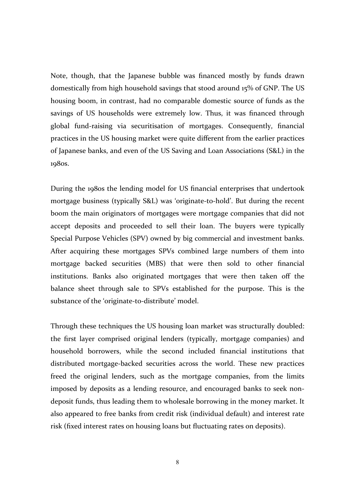Note, though, that the Japanese bubble was financed mostly by funds drawn domestically
from
high
household
savings
that
stood
around
15%
of
GNP.
The
US housing boom, in contrast, had no comparable domestic source of funds as the savings of US households were extremely low. Thus, it was financed through global
 fund‐raising
 via
 securitisation
 of
 mortgages.
 Consequently,
 financial practices
in
the
US
housing
market
were
quite
different
from
 the
earlier
practices of
Japanese
banks,
and
even
of
the
US
Saving
and
Loan
Associations
(S&L)
in
the 1980s.

During the 1980s the lending model for US financial enterprises that undertook mortgage
business
(typically
S&L)
was
'originate‐to‐hold'.
 But
during
 the
 recent boom
the
main
originators
of
mortgages
were
mortgage
companies
 that
 did
not accept deposits and proceeded to sell their loan. The buyers were typically Special
Purpose
Vehicles
(SPV)
owned
by
big
commercial
and
investment
banks. After acquiring these mortgages SPVs combined large numbers of them into mortgage backed securities (MBS) that were then sold to other financial institutions.
 Banks
 also
 originated
 mortgages
 that
 were
 then
 taken
 off
 the balance sheet through sale to SPVs established for the purpose. This is the substance of the 'originate-to-distribute' model.

Through
these
techniques
the
US
housing
loan
market
was
structurally
doubled: the
 first
 layer
 comprised
 original
 lenders
 (typically,
 mortgage
 companies)
 and household borrowers, while the second included financial institutions that distributed
 mortgage‐backed
 securities
 across
 the
 world.
 These
 new
 practices freed the original lenders, such as the mortgage companies, from the limits imposed by deposits as a lending resource, and encouraged banks to seek nondeposit
funds,
thus
leading
them
to
wholesale
borrowing
in
the
money
market.
It also
appeared
to
free
banks
from
credit
 risk
 (individual
default)
and
interest
rate risk
(fixed
interest
rates
on
housing
loans
but
fluctuating
rates
on
deposits).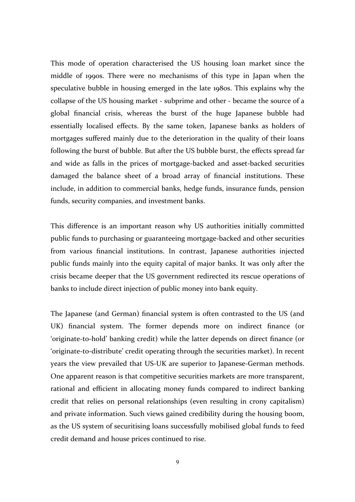This mode of operation characterised the US housing loan market since the middle of 1990s. There were no mechanisms of this type in Japan when the speculative bubble in housing emerged in the late 1980s. This explains why the collapse of the US housing market - subprime and other - became the source of a global
 financial
 crisis,
 whereas
 the
 burst
 of
 the
 huge
 Japanese
 bubble
 had essentially localised effects. By the same token, Japanese banks as holders of mortgages suffered mainly due to the deterioration in the quality of their loans following the burst of bubble. But after the US bubble burst, the effects spread far and
 wide
as
 falls
 in
 the
 prices
 of
 mortgage‐backed
 and
asset‐backed
 securities damaged the balance sheet of a broad array of financial institutions. These include,
in
addition
to
commercial
banks,
hedge
funds,
insurance
funds,
pension funds,
security
companies,
and
investment
banks.

This difference is an important reason why US authorities initially committed public
funds
to
purchasing
or
guaranteeing
mortgage‐backed
and
other
securities from various financial institutions. In contrast, Japanese authorities injected public funds mainly into the equity capital of major banks. It was only after the crisis
became
deeper
that
 the
US
 government
 redirected
its
rescue
operations
of banks
to
include
direct
injection
of
public
money
into
bank
equity.

The Japanese (and German) financial system is often contrasted to the US (and UK) financial system. The former depends more on indirect finance (or 'originate‐to‐hold'
 banking
credit)
 while
the
latter
depends
on
direct
finance
(or 'originate‐to‐distribute'
credit
operating
through
the
securities
market).
In
recent years
the
view
prevailed
 that
 US‐UK
are
 superior
to
 Japanese‐German
methods. One apparent reason is that competitive securities markets are more transparent, rational and efficient in allocating money funds compared to indirect banking credit that relies on personal relationships (even resulting in crony capitalism) and
private
information.
Such
views
gained
credibility
during
the
housing
boom, as
the
US
system
of
securitising
loans
successfully
mobilised
global
 funds
to
 feed credit
demand
and
house
prices
continued
to
rise.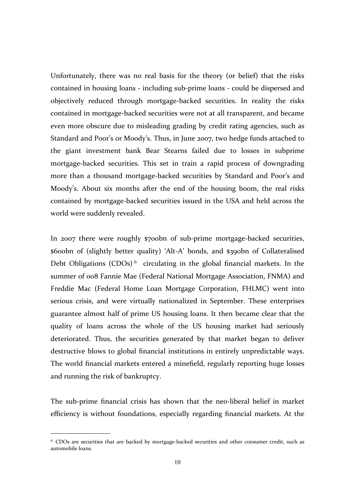Unfortunately, there was no real basis for the theory (or belief) that the risks contained
in
housing
loans
‐
including
sub‐prime
loans
‐
could
be
dispersed
and objectively
 reduced
 through
 mortgage‐backed
 securities.
 In
 reality
 the
 risks contained
in
mortgage‐backed
securities
were
not
at
all
 transparent,
and
became even more obscure due to misleading grading by credit rating agencies, such as Standard and Poor's or Moody's. Thus, in June 2007, two hedge funds attached to the
 giant
 investment
 bank
 Bear
 Stearns
 failed
 due
 to
 losses
 in
 subprime mortgage-backed securities. This set in train a rapid process of downgrading more than a thousand mortgage-backed securities by Standard and Poor's and Moody's. About six months after the end of the housing boom, the real risks contained
by
mortgage‐backed
securities
issued
in
 the
USA
and
held
across
 the world
were
suddenly
revealed.

In 2007 there were roughly \$700bn of sub-prime mortgage-backed securities, \$600bn
 of
 (slightly
 better
 quality)
 'Alt‐A'
 bonds,
 and
 \$390bn
 of
 Collateralised Debt Obligations (CDOs)<sup>[6](#page-9-0)</sup> circulating in the global financial markets. In the summer
of
008
Fannie
Mae
(Federal
National
Mortgage
Association,
FNMA)
and Freddie Mac (Federal Home Loan Mortgage Corporation, FHLMC) went into serious crisis, and were virtually nationalized in September. These enterprises guarantee
almost
half
 of
prime
US
housing
loans.
 It
 then
 became
clear
that
 the quality
 of
 loans
 across
 the
 whole
 of
 the
 US
 housing
 market
 had
 seriously deteriorated. Thus, the securities generated by that market began to deliver destructive blows to global financial institutions in entirely unpredictable ways. The
world
financial
markets
entered
a
minefield,
regularly
reporting
 huge
losses and
running
the
risk
of
bankruptcy.

The
 sub‐prime
 financial
 crisis
 has
 shown
 that
 the
 neo‐liberal
 belief
 in
 market efficiency is without foundations, especially regarding financial markets. At the

<span id="page-9-0"></span><sup>&</sup>lt;sup>6</sup> CDOs are securities that are backed by mortgage-backed securities and other consumer credit, such as automobile
loans.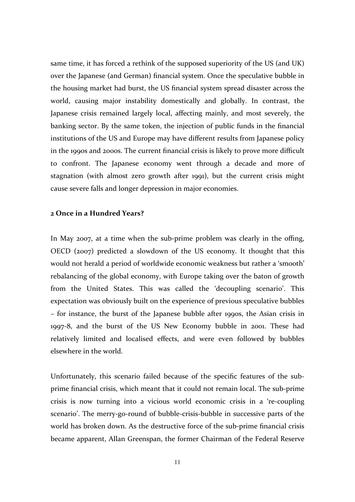same
time,
it
has
forced
a
rethink
of
the
supposed
superiority
of
the
US
(and
UK) over
the
Japanese
(and
German)
financial
system.
Once
the
speculative
bubble
in the
housing
market
had
burst,
the
US
financial
system
spread
disaster
across
the world, causing major instability domestically and globally. In contrast, the Japanese crisis remained largely local, affecting mainly, and most severely, the banking sector. By the same token, the injection of public funds in the financial institutions of the US and Europe may have different results from Japanese policy in
the
1990s
and
2000s.
The
current
financial
crisis
is
likely
to
prove
more
difficult to confront. The Japanese economy went through a decade and more of stagnation (with almost zero growth after 1991), but the current crisis might cause
severe
falls
and
longer
depression
in
major
economies.

#### **2
Once
in
a
Hundred
Years?**

In May 2007, at a time when the sub-prime problem was clearly in the offing, OECD (2007) predicted a slowdown of the US economy. It thought that this would not herald a period of worldwide economic weakness but rather a 'smooth' rebalancing of the global economy, with Europe taking over the baton of growth from
 the
 United
 States.
 This
 was
 called
 the
 'decoupling
 scenario'.
 This expectation
was
obviously
built
on
the
experience
of
previous
speculative
bubbles – for instance, the burst of the Japanese bubble after 1990s, the Asian crisis in 1997‐8,
 and
 the
 burst
 of
 the
 US
 New
 Economy
 bubble
 in
 2001.
 These
 had relatively limited and localised effects, and were even followed by bubbles elsewhere
in
the
world.

Unfortunately, this scenario failed because of the specific features of the subprime financial crisis, which meant that it could not remain local. The sub-prime crisis is now turning into a vicious world economic crisis in a 're-coupling scenario'. The merry-go-round of bubble-crisis-bubble in successive parts of the world has broken down. As the destructive force of the sub-prime financial crisis became
apparent,
Allan
Greenspan,
the
former
Chairman
of
the
Federal
Reserve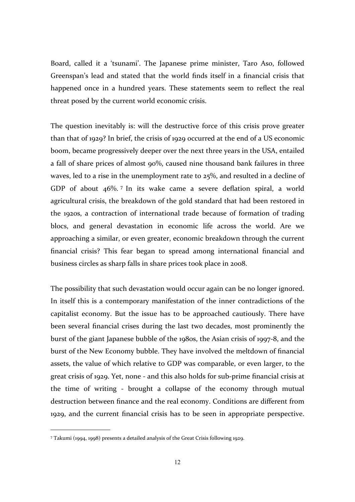Board, called it a 'tsunami'. The Japanese prime minister, Taro Aso, followed Greenspan's lead and stated that the world finds itself in a financial crisis that happened once in a hundred years. These statements seem to reflect the real threat
posed
by
the
current
world
economic
crisis.

The question inevitably is: will the destructive force of this crisis prove greater than
that
of
1929?
In
brief,
the
crisis
of
1929
occurred
at
the
end
of
a
US
economic boom,
became
progressively
deeper
over
the
next
three
years
in
the
USA,
entailed a fall of share prices of almost 90%, caused nine thousand bank failures in three waves, led to a rise in the unemployment rate to 25%, and resulted in a decline of GDP of about 46%.<sup>[7](#page-11-0)</sup> In its wake came a severe deflation spiral, a world agricultural
crisis,
the
breakdown
of
the
gold
standard
that
had
been
restored
in the 1920s, a contraction of international trade because of formation of trading blocs,
 and
 general
 devastation
 in
 economic
 life
 across
 the
 world.
 Are
 we approaching
a
similar,
or
even
greater,
economic
breakdown
through
the
current financial crisis? This fear began to spread among international financial and business
circles
as
sharp
falls
in
share
prices
took
place
in
2008.

The
possibility
that
such
devastation
would
occur
again
can
be
no
longer
ignored. In itself this is a contemporary manifestation of the inner contradictions of the capitalist
 economy.
 But
 the
issue
 has
 to
 be
 approached
 cautiously.
 There
 have been several financial crises during the last two decades, most prominently the burst
of
the
giant
Japanese
bubble
of
the
1980s,
the
Asian
crisis
of
1997‐8,
and
the burst
of
the
New
Economy
bubble.
They
have
involved
the
meltdown
of
financial assets,
 the
value
of
which
relative
to
GDP
was
comparable,
or
even
larger,
to
 the great
crisis
of
1929.
Yet,
none
‐
and
this
also
holds
for
sub‐prime
financial
crisis
at the time of writing - brought a collapse of the economy through mutual destruction
between
finance
and
the
real
economy.
Conditions
are
different
 from 1929,
and
 the
current
 financial
 crisis
has
 to
 be
 seen
in
 appropriate
perspective.

<span id="page-11-0"></span><sup>7</sup>Takumi
(1994,
1998)
presents
a
detailed
analysis
of
the
Great
Crisis
following
1929.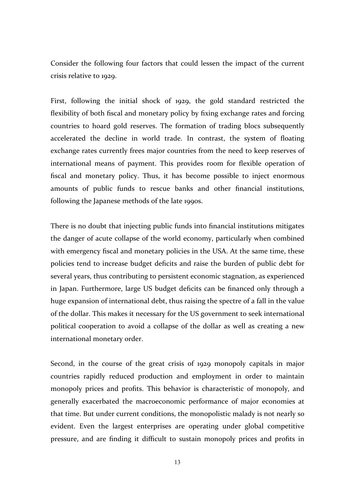Consider the following four factors that could lessen the impact of the current crisis
relative
to
1929.

First, following the initial shock of 1929, the gold standard restricted the flexibility of both fiscal and monetary policy by fixing exchange rates and forcing countries
 to
 hoard
 gold
 reserves.
 The
 formation
 of
 trading
 blocs
 subsequently accelerated the decline in world trade. In contrast, the system of floating exchange rates currently frees major countries from the need to keep reserves of international means of payment. This provides room for flexible operation of fiscal and monetary policy. Thus, it has become possible to inject enormous amounts
 of
 public
 funds
 to
 rescue
 banks
 and
 other
 financial
 institutions, following
the
Japanese
methods
of
the
late
1990s.

There
is
no
doubt
that
injecting
public
funds
into
financial
institutions
mitigates the
danger
of
acute
collapse
of
the
world
economy,
particularly
when
combined with emergency fiscal and monetary policies in the USA. At the same time, these policies tend to increase budget deficits and raise the burden of public debt for several
years,
thus
contributing
to
persistent
economic
stagnation,
as
experienced in Japan. Furthermore, large US budget deficits can be financed only through a huge expansion of international debt, thus raising the spectre of a fall in the value of
the
dollar.
This
makes
it
necessary
for
the
US
government
to
seek
international political cooperation to avoid a collapse of the dollar as well as creating a new international
monetary
order.

Second, in the course of the great crisis of 1929 monopoly capitals in major countries
 rapidly
 reduced
 production
 and
 employment
 in
 order
 to
 maintain monopoly prices and profits. This behavior is characteristic of monopoly, and generally
 exacerbated
 the
macroeconomic
 performance
 of
 major
 economies
 at that time. But under current conditions, the monopolistic malady is not nearly so evident.
 Even
 the
 largest
 enterprises
 are
 operating
 under
 global
 competitive pressure, and are finding it difficult to sustain monopoly prices and profits in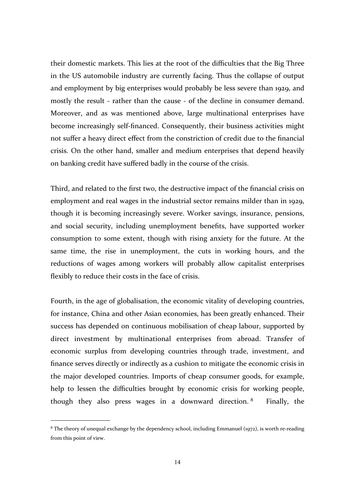their
domestic
markets.
This
lies
at
the
root
of
the
difficulties
that
the
Big
Three in
 the
US
automobile
industry
are
currently
 facing.
 Thus
the
collapse
 of
output and
employment
by
big
enterprises
would
probably
be
less
severe
than
1929,
and mostly the result - rather than the cause - of the decline in consumer demand. Moreover, and as was mentioned above, large multinational enterprises have become increasingly self-financed. Consequently, their business activities might not
suffer
a
heavy
direct
effect
from
the
constriction
of
credit
due
to
 the
financial crisis.
On
 the
 other
hand,
smaller
and
medium
 enterprises
 that
 depend
heavily on
banking
credit
have
suffered
badly
in
the
course
of
the
crisis.

Third, and related to the first two, the destructive impact of the financial crisis on employment and real wages in the industrial sector remains milder than in 1929, though
it
 is
becoming
increasingly
severe.
Worker
savings,
insurance,
pensions, and
 social
 security,
 including
 unemployment
 benefits,
 have
 supported
 worker consumption to some extent, though with rising anxiety for the future. At the same time, the rise in unemployment, the cuts in working hours, and the reductions of wages among workers will probably allow capitalist enterprises flexibly to reduce their costs in the face of crisis.

Fourth, in the age of globalisation, the economic vitality of developing countries, for
instance,
China
and
other
Asian
economies,
has
been
greatly
enhanced.
Their success
has
depended
on
continuous
mobilisation
of
cheap
labour,
supported
by direct investment by multinational enterprises from abroad. Transfer of economic surplus from developing countries through trade, investment, and finance serves directly or indirectly as a cushion to mitigate the economic crisis in the
major
developed
countries.
 Imports
 of
cheap
consumer
 goods,
 for
example, help to lessen the difficulties brought by economic crisis for working people, though
 they
 also
 press
 wages
 in
 a
 downward
 direction. [8](#page-13-0) Finally,
 the

<span id="page-13-0"></span><sup>&</sup>lt;sup>8</sup> The theory of unequal exchange by the dependency school, including Emmanuel (1972), is worth re-reading from
this
point
of
view.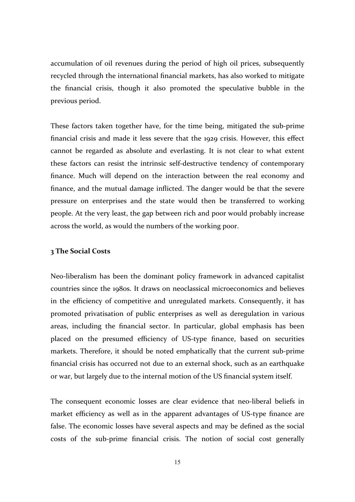accumulation of oil revenues during the period of high oil prices, subsequently recycled
through
the
international
financial
markets,
has
also
worked
to
mitigate the
 financial
 crisis,
 though
 it
 also
 promoted
 the
 speculative
 bubble
 in
 the previous
period.

These factors taken together have, for the time being, mitigated the sub-prime financial crisis and made it less severe that the 1929 crisis. However, this effect cannot
 be
 regarded
 as
 absolute
 and
 everlasting.
 It
 is
 not
 clear
 to
 what
 extent these
 factors
 can
 resist
 the
intrinsic
self‐destructive
 tendency
 of
 contemporary finance. Much will depend on the interaction between the real economy and finance,
and
 the
mutual
damage
inflicted.
 The
danger
would
be
that
 the
severe pressure
 on
 enterprises
 and
 the
 state
 would
 then
 be
 transferred
 to
 working people.
At
the
very
least,
the
gap
between
rich
and
poor
would
probably
increase across
the
world,
as
would
the
numbers
of
the
working
poor.

#### **3
The
Social
Costs**

Neo-liberalism has been the dominant policy framework in advanced capitalist countries
since
the
1980s.
 It
draws
on
 neoclassical
microeconomics
and
believes in the efficiency of competitive and unregulated markets. Consequently, it has promoted privatisation of public enterprises as well as deregulation in various areas,
 including
 the
 financial
 sector.
 In
 particular,
 global
 emphasis
 has
 been placed on the presumed efficiency of US-type finance, based on securities markets. Therefore, it should be noted emphatically that the current sub-prime financial crisis has occurred not due to an external shock, such as an earthquake or
war,
but
largely
due
to
the
internal
motion
of
the
US
financial
system
itself.

The consequent economic losses are clear evidence that neo-liberal beliefs in market efficiency as well as in the apparent advantages of US-type finance are false. The economic losses have several aspects and may be defined as the social costs of the sub-prime financial crisis. The notion of social cost generally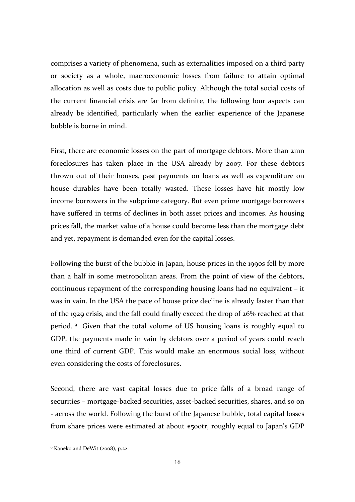comprises
a
variety
of
phenomena,
such
as
externalities
imposed
on
a
third
party or
 society
 as
 a
 whole,
 macroeconomic
 losses
 from
 failure
 to
 attain
 optimal allocation
as
well
 as
costs
due
to
public
policy.
Although
the
total
social
costs
of the current financial crisis are far from definite, the following four aspects can already
 be
 identified,
 particularly
 when
 the
 earlier
 experience
 of
 the
 Japanese bubble
is
borne
in
mind.

First, there are economic losses on the part of mortgage debtors. More than 2mn foreclosures has taken place in the USA already by 2007. For these debtors thrown
 out
 of
 their
 houses,
 past
 payments
 on
loans
 as
well
 as
 expenditure
 on house durables have been totally wasted. These losses have hit mostly low income
borrowers
in
the
subprime
category.
But
even
prime
mortgage
borrowers have suffered in terms of declines in both asset prices and incomes. As housing prices
fall,
the
market
value
of
a
house
could
become
less
than
the
mortgage
debt and
yet,
repayment
is
demanded
even
for
the
capital
losses.

Following the burst of the bubble in Japan, house prices in the 1990s fell by more than a half in some metropolitan areas. From the point of view of the debtors, continuous repayment of the corresponding housing loans had no equivalent - it was in vain. In the USA the pace of house price decline is already faster than that of the 1929 crisis, and the fall could finally exceed the drop of 26% reached at that period. <sup>[9](#page-15-0)</sup> Given that the total volume of US housing loans is roughly equal to GDP, the payments made in vain by debtors over a period of years could reach one
 third
 of
 current
 GDP.
 This
 would
make
 an
 enormous
 social
 loss,
 without even
considering
the
costs
of
foreclosures.

Second, there are vast capital losses due to price falls of a broad range of securities - mortgage-backed securities, asset-backed securities, shares, and so on ‐
across
the
world.
Following
the
burst
of
the
Japanese
bubble,
total
capital
losses from share prices were estimated at about ¥500tr, roughly equal to Japan's GDP

<span id="page-15-0"></span><sup>9</sup>Kaneko
and
DeWit
(2008),
p.22.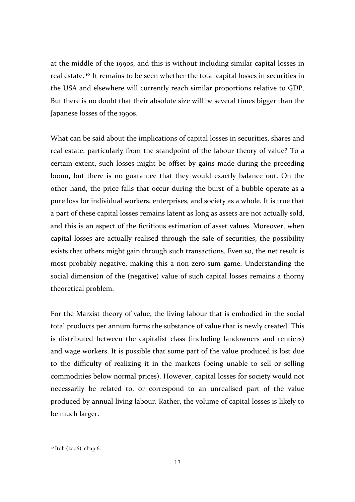at the middle of the 1990s, and this is without including similar capital losses in real estate.<sup>[10](#page-16-0)</sup> It remains to be seen whether the total capital losses in securities in the
USA
and
elsewhere
will
currently
reach
similar
proportions
 relative
to
 GDP. But there is no doubt that their absolute size will be several times bigger than the Japanese
losses
of
the
1990s.

What can be said about the implications of capital losses in securities, shares and real estate, particularly from the standpoint of the labour theory of value? To a certain
 extent,
 such
 losses
 might
 be
 offset
 by
 gains
made
 during
 the
 preceding boom, but there is no guarantee that they would exactly balance out. On the other hand, the price falls that occur during the burst of a bubble operate as a pure
loss
for
individual
workers,
enterprises,
and
society
as
a
whole.
It
is
true
that a part of these capital losses remains latent as long as assets are not actually sold, and this is an aspect of the fictitious estimation of asset values. Moreover, when capital
 losses
are
actually
 realised
 through
 the
sale
 of
 securities,
 the
possibility exists that others might gain through such transactions. Even so, the net result is most probably negative, making this a non-zero-sum game. Understanding the social dimension of the (negative) value of such capital losses remains a thorny theoretical
problem.

For the Marxist theory of value, the living labour that is embodied in the social total
products
per
annum
forms
the
substance
of
value
that
is
newly
created.
This is distributed between the capitalist class (including landowners and rentiers) and
wage
workers.
It
is
possible
that
some
part
 of
the
value
produced
is
lost
due to the difficulty of realizing it in the markets (being unable to sell or selling commodities
below
normal
prices).
However,
capital
losses
for
society
would
not necessarily be related to, or correspond to an unrealised part of the value produced
by
annual
living
labour.
Rather,
the
volume
of
capital
losses
is
likely
to be
much
larger.

<span id="page-16-0"></span><sup>&</sup>lt;sup>10</sup> Itoh (2006), chap.6.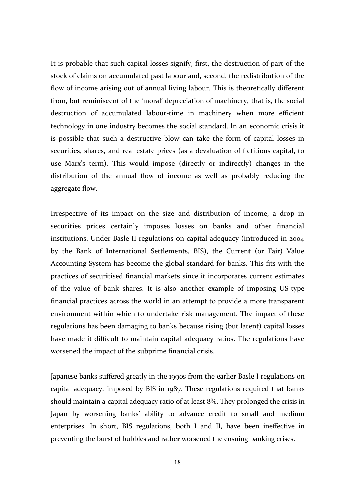It is probable that such capital losses signify, first, the destruction of part of the stock of claims on accumulated past labour and, second, the redistribution of the flow of income arising out of annual living labour. This is theoretically different from, but reminiscent of the 'moral' depreciation of machinery, that is, the social destruction of accumulated labour-time in machinery when more efficient technology
in
one
industry
becomes
the
social
standard.
In
an
economic
crisis
it is possible that such a destructive blow can take the form of capital losses in securities, shares, and real estate prices (as a devaluation of fictitious capital, to use
 Marx's
 term). This
 would
 impose
 (directly
 or
 indirectly)
 changes
 in
 the distribution of the annual flow of income as well as probably reducing the aggregate
flow.

Irrespective of its impact on the size and distribution of income, a drop in securities prices certainly imposes losses on banks and other financial institutions. Under Basle II regulations on capital adequacy (introduced in 2004 by the Bank of International Settlements, BIS), the Current (or Fair) Value Accounting
System
has
become
the
global
standard
for
banks.
This
fits
with
 the practices
of
securitised
 financial
markets
since
it
incorporates
current
 estimates of the value of bank shares. It is also another example of imposing US-type financial
 practices
across
the
world
in
an
attempt
to
 provide
a
more
transparent environment
 within
which
to
 undertake
risk
management.
The
impact
 of
these regulations
has
been
damaging
to
banks
because
rising
(but
latent)
capital
losses have made it difficult to maintain capital adequacy ratios. The regulations have worsened the impact of the subprime financial crisis.

Japanese
banks
suffered
greatly
in
the
1990s
from
the
earlier
Basle
I
regulations
on capital adequacy, imposed by BIS in 1987. These regulations required that banks should maintain a capital adequacy ratio of at least 8%. They prolonged the crisis in Japan by worsening banks' ability to advance credit to small and medium enterprises. In short, BIS regulations, both I and II, have been ineffective in preventing
the
burst
of
bubbles
and
rather
worsened
the
ensuing
banking
crises.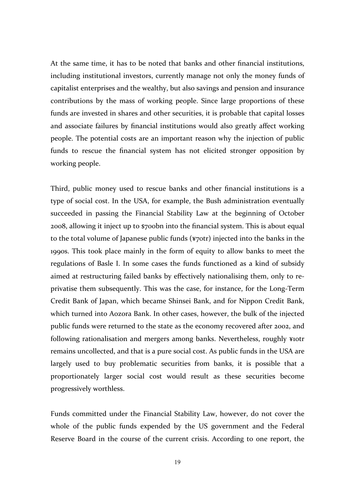At the same time, it has to be noted that banks and other financial institutions, including institutional investors, currently manage not only the money funds of capitalist
enterprises
and
the
wealthy,
but
also
savings
and
pension
and
insurance contributions by the mass of working people. Since large proportions of these funds are invested in shares and other securities, it is probable that capital losses and
associate
 failures
 by
 financial
institutions
would
 also
 greatly
 affect
working people.
The
 potential
 costs
are
an
important
 reason
why
the
injection
of
public funds to rescue the financial system has not elicited stronger opposition by working
people.

Third, public money used to rescue banks and other financial institutions is a type
of
social
 cost.
In
the
USA,
 for
example,
 the
Bush
administration
 eventually succeeded in passing the Financial Stability Law at the beginning of October 2008,
allowing
it
inject
up
to
\$700bn
into
the
financial
system.
This
is
about
equal to the total volume of Japanese public funds  $(\frac{4}{2}$ otr) injected into the banks in the 1990s.
 This
 took
 place
mainly
in
 the
 form
 of
equity
to
 allow
 banks
 to
meet
 the regulations of Basle I. In some cases the funds functioned as a kind of subsidy aimed at restructuring failed banks by effectively nationalising them, only to reprivatise
them
subsequently.
This
was
 the
case,
 for
instance,
 for
the
Long‐Term Credit
 Bank
of
Japan,
which
became
Shinsei
Bank,
and
for
Nippon
Credit
 Bank, which turned into Aozora Bank. In other cases, however, the bulk of the injected public
funds
were
returned
to
the
state
as
the
economy
recovered
after
2002,
and following rationalisation and mergers among banks. Nevertheless, roughly ¥10tr remains
uncollected,
and
that
is
a
pure
social
cost.
As
public
funds
in
the
USA
are largely used to buy problematic securities from banks, it is possible that a proportionately
 larger
 social
 cost
 would
 result
 as
 these
 securities
 become progressively
worthless.

Funds committed under the Financial Stability Law, however, do not cover the whole of the public funds expended by the US government and the Federal Reserve Board in the course of the current crisis. According to one report, the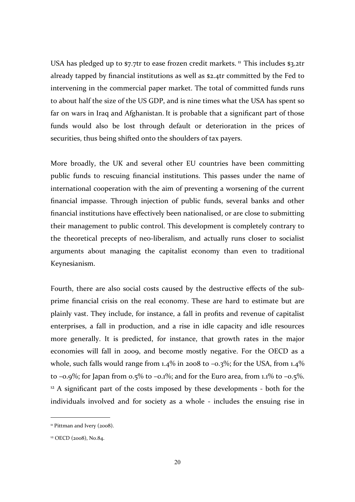USA has pledged up to \$7.7tr to ease frozen credit markets.<sup>11</sup> This includes \$3.2tr already
tapped
by
financial
institutions
as
well
as
\$2.4tr
committed
by
the
Fed
to intervening in the commercial paper market. The total of committed funds runs to about half the size of the US GDP, and is nine times what the USA has spent so far on wars in Iraq and Afghanistan. It is probable that a significant part of those funds would also be lost through default or deterioration in the prices of securities, thus being shifted onto the shoulders of tax payers.

More broadly, the UK and several other EU countries have been committing public
 funds
 to
 rescuing
 financial
 institutions.
 This
 passes
 under
 the
 name
 of international
cooperation
with
the
aim
of
preventing
a
worsening
of
the
current financial impasse. Through injection of public funds, several banks and other financial
institutions
have
effectively
been
nationalised,
or
are
close
to
submitting their management to public control. This development is completely contrary to the theoretical precepts of neo-liberalism, and actually runs closer to socialist arguments
 about
 managing
 the
 capitalist
 economy
 than
 even
 to
 traditional Keynesianism.

Fourth, there are also social costs caused by the destructive effects of the subprime financial crisis on the real economy. These are hard to estimate but are plainly
vast.
They
include,
for
instance,
a
 fall
in
profits
and
 revenue
of
capitalist enterprises, a fall in production, and a rise in idle capacity and idle resources more generally. It is predicted, for instance, that growth rates in the major economies will fall in 2009, and become mostly negative. For the OECD as a whole, such falls would range from  $1.4\%$  in 2008 to  $-0.3\%$ ; for the USA, from  $1.4\%$ to  $-0.9\%$ ; for Japan from 0.5% to  $-0.1\%$ ; and for the Euro area, from 1.1% to  $-0.5\%$ .  $12$  A significant part of the costs imposed by these developments - both for the individuals involved and for society as a whole - includes the ensuing rise in

<span id="page-19-0"></span><sup>&</sup>lt;sup>11</sup> Pittman and Ivery (2008).

<span id="page-19-1"></span><sup>&</sup>lt;sup>12</sup> OECD (2008), No.84.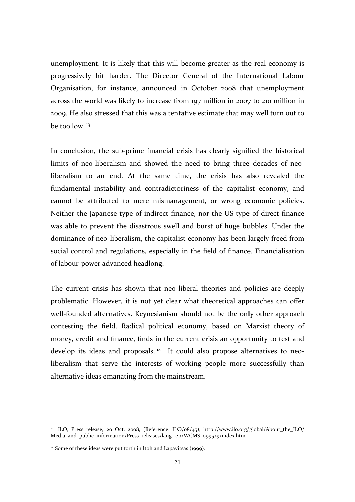unemployment. It is likely that this will become greater as the real economy is progressively
 hit
 harder.
 The
 Director
 General
 of
 the
 International
 Labour Organisation,
 for
 instance,
 announced
 in
 October
 2008
 that
 unemployment across the world was likely to increase from 197 million in 2007 to 210 million in 2009.
He
also
stressed
that
this
was
a
tentative
estimate
that
may
well
turn
out
to be
too
low.[13](#page-20-0)

In conclusion, the sub-prime financial crisis has clearly signified the historical limits of neo-liberalism and showed the need to bring three decades of neoliberalism to an end. At the same time, the crisis has also revealed the fundamental instability and contradictoriness of the capitalist economy, and cannot
 be
 attributed
 to
 mere
 mismanagement,
 or
 wrong
 economic
 policies. Neither the Japanese type of indirect finance, nor the US type of direct finance was able to prevent the disastrous swell and burst of huge bubbles. Under the dominance of neo-liberalism, the capitalist economy has been largely freed from social control and regulations, especially in the field of finance. Financialisation of
labour‐power
advanced
headlong.

The current crisis has shown that neo-liberal theories and policies are deeply problematic. However, it is not yet clear what theoretical approaches can offer well-founded alternatives. Keynesianism should not be the only other approach contesting
 the
 field.
 Radical
 political
 economy,
 based
 on
 Marxist
 theory
 of money, credit and finance, finds in the current crisis an opportunity to test and develop its ideas and proposals.<sup>[14](#page-20-1)</sup> It could also propose alternatives to neoliberalism that serve the interests of working people more successfully than alternative
ideas
emanating
from
the
mainstream.

<span id="page-20-0"></span><sup>&</sup>lt;sup>13</sup> ILO, Press release, 20 Oct. 2008, (Reference: ILO/08/45), http://www.ilo.org/global/About the ILO/ Media\_and\_public\_information/Press\_releases/lang--en/WCMS\_099529/index.htm

<span id="page-20-1"></span><sup>&</sup>lt;sup>14</sup> Some of these ideas were put forth in Itoh and Lapavitsas (1999).